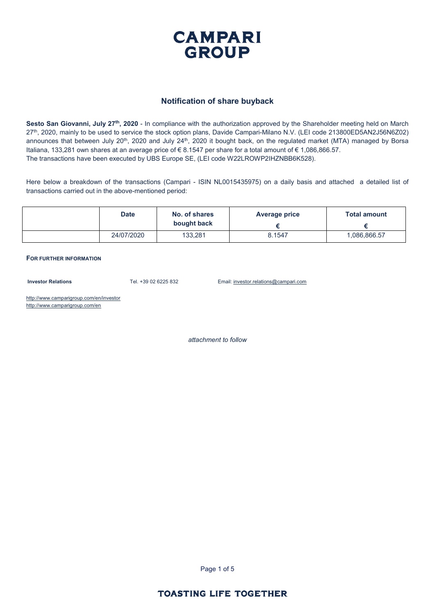

#### **Notification of share buyback**

**Sesto San Giovanni, July 27th, 2020** - In compliance with the authorization approved by the Shareholder meeting held on March 27<sup>th</sup>, 2020, mainly to be used to service the stock option plans, Davide Campari-Milano N.V. (LEI code 213800ED5AN2J56N6Z02) announces that between July 20<sup>th</sup>, 2020 and July 24<sup>th</sup>, 2020 it bought back, on the regulated market (MTA) managed by Borsa Italiana, 133,281 own shares at an average price of € 8.1547 per share for a total amount of € 1,086,866.57. The transactions have been executed by UBS Europe SE, (LEI code W22LROWP2IHZNBB6K528).

Here below a breakdown of the transactions (Campari - ISIN NL0015435975) on a daily basis and attached a detailed list of transactions carried out in the above-mentioned period:

| <b>Date</b> | No. of shares<br>bought back | Average price | <b>Total amount</b> |
|-------------|------------------------------|---------------|---------------------|
| 24/07/2020  | 133,281                      | 8.1547        | 1,086,866.57        |

**FOR FURTHER INFORMATION**

**Investor Relations** Tel. +39 02 6225 832 Email: investor.relations@campari.com

http://www.camparigroup.com/en/investor http://www.camparigroup.com/en

*attachment to follow*

Page 1 of 5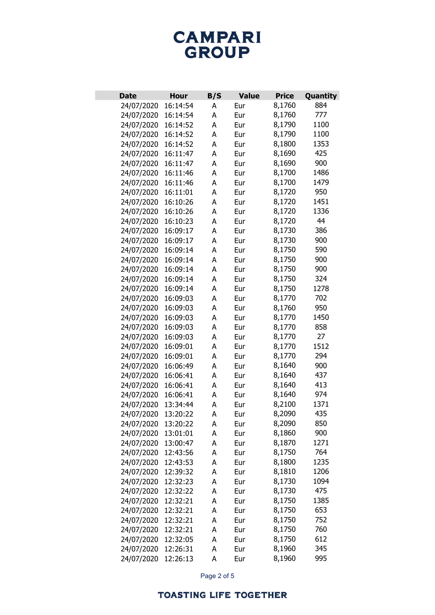# **CAMPARI** GROUP

| <b>Date</b> | <b>Hour</b> | B/S | <b>Value</b> | <b>Price</b> | Quantity |
|-------------|-------------|-----|--------------|--------------|----------|
| 24/07/2020  | 16:14:54    | А   | Eur          | 8,1760       | 884      |
| 24/07/2020  | 16:14:54    | A   | Eur          | 8,1760       | 777      |
| 24/07/2020  | 16:14:52    | A   | Eur          | 8,1790       | 1100     |
| 24/07/2020  | 16:14:52    | A   | Eur          | 8,1790       | 1100     |
| 24/07/2020  | 16:14:52    | A   | Eur          | 8,1800       | 1353     |
| 24/07/2020  | 16:11:47    | A   | Eur          | 8,1690       | 425      |
| 24/07/2020  | 16:11:47    | A   | Eur          | 8,1690       | 900      |
| 24/07/2020  | 16:11:46    | A   | Eur          | 8,1700       | 1486     |
| 24/07/2020  | 16:11:46    | Α   | Eur          | 8,1700       | 1479     |
| 24/07/2020  | 16:11:01    | А   | Eur          | 8,1720       | 950      |
| 24/07/2020  | 16:10:26    | A   | Eur          | 8,1720       | 1451     |
| 24/07/2020  | 16:10:26    | A   | Eur          | 8,1720       | 1336     |
| 24/07/2020  | 16:10:23    | A   | Eur          | 8,1720       | 44       |
| 24/07/2020  | 16:09:17    | A   | Eur          | 8,1730       | 386      |
| 24/07/2020  | 16:09:17    | Α   | Eur          | 8,1730       | 900      |
| 24/07/2020  | 16:09:14    | A   | Eur          | 8,1750       | 590      |
| 24/07/2020  | 16:09:14    | A   | Eur          | 8,1750       | 900      |
| 24/07/2020  | 16:09:14    | Α   | Eur          | 8,1750       | 900      |
| 24/07/2020  | 16:09:14    | Α   | Eur          | 8,1750       | 324      |
| 24/07/2020  | 16:09:14    | А   | Eur          | 8,1750       | 1278     |
| 24/07/2020  | 16:09:03    | A   | Eur          | 8,1770       | 702      |
| 24/07/2020  | 16:09:03    | A   | Eur          | 8,1760       | 950      |
| 24/07/2020  | 16:09:03    | A   | Eur          | 8,1770       | 1450     |
| 24/07/2020  | 16:09:03    | A   | Eur          | 8,1770       | 858      |
| 24/07/2020  | 16:09:03    | А   | Eur          | 8,1770       | 27       |
| 24/07/2020  | 16:09:01    | Α   | Eur          | 8,1770       | 1512     |
| 24/07/2020  | 16:09:01    | A   | Eur          | 8,1770       | 294      |
| 24/07/2020  | 16:06:49    | А   | Eur          | 8,1640       | 900      |
| 24/07/2020  | 16:06:41    | Α   | Eur          | 8,1640       | 437      |
| 24/07/2020  | 16:06:41    | Α   | Eur          | 8,1640       | 413      |
| 24/07/2020  | 16:06:41    | A   | Eur          | 8,1640       | 974      |
| 24/07/2020  | 13:34:44    | A   | Eur          | 8,2100       | 1371     |
| 24/07/2020  | 13:20:22    | А   | Eur          | 8,2090       | 435      |
| 24/07/2020  | 13:20:22    | А   | Eur          | 8,2090       | 850      |
| 24/07/2020  | 13:01:01    | А   | Eur          | 8,1860       | 900      |
| 24/07/2020  | 13:00:47    | A   | Eur          | 8,1870       | 1271     |
| 24/07/2020  | 12:43:56    | A   | Eur          | 8,1750       | 764      |
| 24/07/2020  | 12:43:53    | А   | Eur          | 8,1800       | 1235     |
| 24/07/2020  | 12:39:32    | A   | Eur          | 8,1810       | 1206     |
| 24/07/2020  | 12:32:23    | A   | Eur          | 8,1730       | 1094     |
| 24/07/2020  | 12:32:22    | A   | Eur          | 8,1730       | 475      |
| 24/07/2020  | 12:32:21    | A   | Eur          | 8,1750       | 1385     |
| 24/07/2020  | 12:32:21    | А   | Eur          | 8,1750       | 653      |
| 24/07/2020  | 12:32:21    | А   | Eur          | 8,1750       | 752      |
| 24/07/2020  | 12:32:21    | А   | Eur          | 8,1750       | 760      |
| 24/07/2020  | 12:32:05    | А   | Eur          | 8,1750       | 612      |
| 24/07/2020  | 12:26:31    | A   | Eur          | 8,1960       | 345      |
| 24/07/2020  | 12:26:13    | А   | Eur          | 8,1960       | 995      |

Page 2 of 5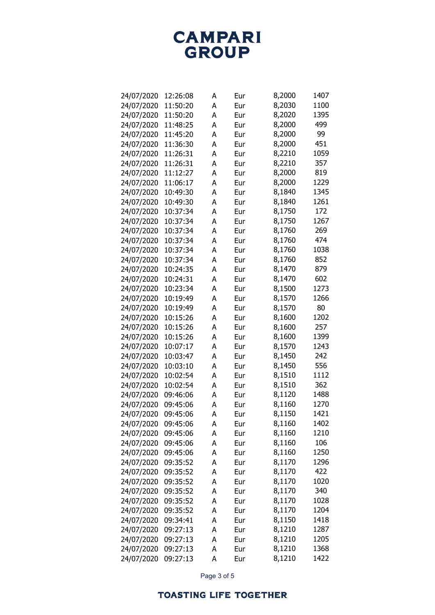**CAMPARI**<br>GROUP

| 24/07/2020 | 12:26:08 | А | Eur | 8,2000 | 1407 |
|------------|----------|---|-----|--------|------|
| 24/07/2020 | 11:50:20 | A | Eur | 8,2030 | 1100 |
| 24/07/2020 | 11:50:20 | A | Eur | 8,2020 | 1395 |
| 24/07/2020 | 11:48:25 | A | Eur | 8,2000 | 499  |
| 24/07/2020 | 11:45:20 | А | Eur | 8,2000 | 99   |
| 24/07/2020 | 11:36:30 | A | Eur | 8,2000 | 451  |
| 24/07/2020 | 11:26:31 | A | Eur | 8,2210 | 1059 |
| 24/07/2020 | 11:26:31 | A | Eur | 8,2210 | 357  |
| 24/07/2020 | 11:12:27 | A | Eur | 8,2000 | 819  |
| 24/07/2020 | 11:06:17 | A | Eur | 8,2000 | 1229 |
| 24/07/2020 | 10:49:30 | A | Eur | 8,1840 | 1345 |
| 24/07/2020 | 10:49:30 | A | Eur | 8,1840 | 1261 |
| 24/07/2020 | 10:37:34 | A | Eur | 8,1750 | 172  |
| 24/07/2020 | 10:37:34 | A | Eur | 8,1750 | 1267 |
| 24/07/2020 | 10:37:34 | А | Eur | 8,1760 | 269  |
| 24/07/2020 | 10:37:34 | A | Eur | 8,1760 | 474  |
| 24/07/2020 | 10:37:34 | A | Eur | 8,1760 | 1038 |
| 24/07/2020 | 10:37:34 | A | Eur | 8,1760 | 852  |
| 24/07/2020 | 10:24:35 | A | Eur | 8,1470 | 879  |
| 24/07/2020 | 10:24:31 | A | Eur | 8,1470 | 602  |
| 24/07/2020 | 10:23:34 | A | Eur | 8,1500 | 1273 |
| 24/07/2020 | 10:19:49 | A | Eur | 8,1570 | 1266 |
| 24/07/2020 | 10:19:49 | A | Eur | 8,1570 | 80   |
| 24/07/2020 | 10:15:26 | A | Eur | 8,1600 | 1202 |
| 24/07/2020 | 10:15:26 | А | Eur | 8,1600 | 257  |
| 24/07/2020 | 10:15:26 | A | Eur | 8,1600 | 1399 |
| 24/07/2020 | 10:07:17 | A | Eur | 8,1570 | 1243 |
| 24/07/2020 | 10:03:47 | A | Eur | 8,1450 | 242  |
| 24/07/2020 | 10:03:10 | A | Eur | 8,1450 | 556  |
| 24/07/2020 | 10:02:54 | A | Eur | 8,1510 | 1112 |
| 24/07/2020 | 10:02:54 | A | Eur | 8,1510 | 362  |
| 24/07/2020 | 09:46:06 | A | Eur | 8,1120 | 1488 |
| 24/07/2020 | 09:45:06 | A | Eur | 8,1160 | 1270 |
| 24/07/2020 | 09:45:06 | Α | Eur | 8,1150 | 1421 |
| 24/07/2020 | 09:45:06 | A | Eur | 8,1160 | 1402 |
| 24/07/2020 | 09:45:06 | A | Eur | 8,1160 | 1210 |
| 24/07/2020 | 09:45:06 | A | Eur | 8,1160 | 106  |
| 24/07/2020 | 09:45:06 | A | Eur | 8,1160 | 1250 |
| 24/07/2020 | 09:35:52 | A | Eur | 8,1170 | 1296 |
| 24/07/2020 | 09:35:52 | А | Eur | 8,1170 | 422  |
| 24/07/2020 | 09:35:52 | A | Eur | 8,1170 | 1020 |
| 24/07/2020 | 09:35:52 | A | Eur | 8,1170 | 340  |
| 24/07/2020 | 09:35:52 | A | Eur | 8,1170 | 1028 |
| 24/07/2020 | 09:35:52 | A | Eur | 8,1170 | 1204 |
| 24/07/2020 | 09:34:41 | A | Eur | 8,1150 | 1418 |
| 24/07/2020 | 09:27:13 | A | Eur | 8,1210 | 1287 |
| 24/07/2020 | 09:27:13 | A | Eur | 8,1210 | 1205 |
| 24/07/2020 | 09:27:13 | A | Eur | 8,1210 | 1368 |
| 24/07/2020 | 09:27:13 | A | Eur | 8,1210 | 1422 |

Page 3 of 5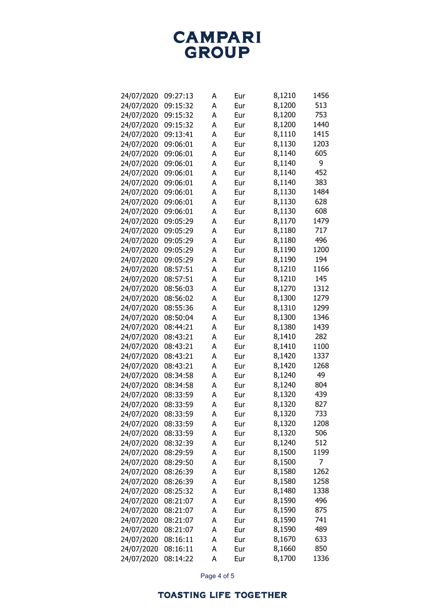**CAMPARI**<br>GROUP

| 24/07/2020 | 09:27:13 | А | Eur | 8,1210 | 1456 |
|------------|----------|---|-----|--------|------|
| 24/07/2020 | 09:15:32 | A | Eur | 8,1200 | 513  |
| 24/07/2020 | 09:15:32 | A | Eur | 8,1200 | 753  |
| 24/07/2020 | 09:15:32 | A | Eur | 8,1200 | 1440 |
| 24/07/2020 | 09:13:41 | A | Eur | 8,1110 | 1415 |
| 24/07/2020 | 09:06:01 | А | Eur | 8,1130 | 1203 |
| 24/07/2020 | 09:06:01 | A | Eur | 8,1140 | 605  |
| 24/07/2020 | 09:06:01 | А | Eur | 8,1140 | 9    |
| 24/07/2020 | 09:06:01 | A | Eur | 8,1140 | 452  |
| 24/07/2020 | 09:06:01 | A | Eur | 8,1140 | 383  |
| 24/07/2020 | 09:06:01 | A | Eur | 8,1130 | 1484 |
| 24/07/2020 | 09:06:01 | A | Eur | 8,1130 | 628  |
| 24/07/2020 | 09:06:01 | A | Eur | 8,1130 | 608  |
| 24/07/2020 | 09:05:29 | Α | Eur | 8,1170 | 1479 |
| 24/07/2020 | 09:05:29 | A | Eur | 8,1180 | 717  |
| 24/07/2020 | 09:05:29 | А | Eur | 8,1180 | 496  |
| 24/07/2020 | 09:05:29 | A | Eur | 8,1190 | 1200 |
| 24/07/2020 | 09:05:29 | A | Eur | 8,1190 | 194  |
| 24/07/2020 | 08:57:51 | A | Eur | 8,1210 | 1166 |
| 24/07/2020 | 08:57:51 | A | Eur | 8,1210 | 145  |
| 24/07/2020 | 08:56:03 | A | Eur | 8,1270 | 1312 |
| 24/07/2020 | 08:56:02 | A | Eur | 8,1300 | 1279 |
| 24/07/2020 | 08:55:36 | A | Eur | 8,1310 | 1299 |
| 24/07/2020 | 08:50:04 | A | Eur | 8,1300 | 1346 |
| 24/07/2020 | 08:44:21 | A | Eur | 8,1380 | 1439 |
| 24/07/2020 | 08:43:21 | А | Eur | 8,1410 | 282  |
| 24/07/2020 | 08:43:21 | A | Eur | 8,1410 | 1100 |
| 24/07/2020 | 08:43:21 | A | Eur | 8,1420 | 1337 |
| 24/07/2020 | 08:43:21 | A | Eur | 8,1420 | 1268 |
| 24/07/2020 | 08:34:58 | A | Eur | 8,1240 | 49   |
| 24/07/2020 | 08:34:58 | A | Eur | 8,1240 | 804  |
| 24/07/2020 | 08:33:59 | A | Eur | 8,1320 | 439  |
| 24/07/2020 | 08:33:59 | A | Eur | 8,1320 | 827  |
| 24/07/2020 | 08:33:59 | Α | Eur | 8,1320 | 733  |
| 24/07/2020 | 08:33:59 | A | Eur | 8,1320 | 1208 |
| 24/07/2020 | 08:33:59 | A | Eur | 8,1320 | 506  |
|            | 08:32:39 | A |     | 8,1240 | 512  |
| 24/07/2020 |          | A | Eur | 8,1500 | 1199 |
| 24/07/2020 | 08:29:59 | A | Eur |        | 7    |
| 24/07/2020 | 08:29:50 |   | Eur | 8,1500 |      |
| 24/07/2020 | 08:26:39 | A | Eur | 8,1580 | 1262 |
| 24/07/2020 | 08:26:39 | A | Eur | 8,1580 | 1258 |
| 24/07/2020 | 08:25:32 | A | Eur | 8,1480 | 1338 |
| 24/07/2020 | 08:21:07 | A | Eur | 8,1590 | 496  |
| 24/07/2020 | 08:21:07 | A | Eur | 8,1590 | 875  |
| 24/07/2020 | 08:21:07 | A | Eur | 8,1590 | 741  |
| 24/07/2020 | 08:21:07 | A | Eur | 8,1590 | 489  |
| 24/07/2020 | 08:16:11 | A | Eur | 8,1670 | 633  |
| 24/07/2020 | 08:16:11 | A | Eur | 8,1660 | 850  |
| 24/07/2020 | 08:14:22 | A | Eur | 8,1700 | 1336 |

Page 4 of 5